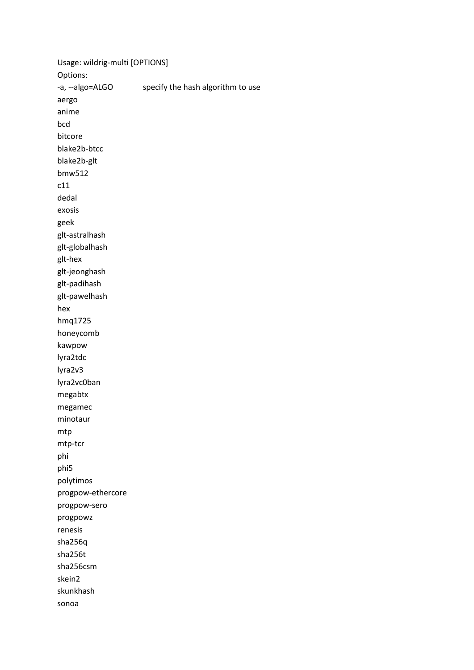Usage: wildrig-multi [OPTIONS] Options: -a, --algo=ALGO specify the hash algorithm to use aergo anime bcd bitcore blake2b-btcc blake2b-glt bmw512 c11 dedal exosis geek glt-astralhash glt-globalhash glt-hex glt-jeonghash glt-padihash glt-pawelhash hex hmq1725 honeycomb kawpow lyra2tdc lyra2v3 lyra2vc0ban megabtx megamec minotaur mtp mtp-tcr phi phi5 polytimos progpow-ethercore progpow-sero progpowz renesis sha256q sha256t sha256csm skein2 skunkhash sonoa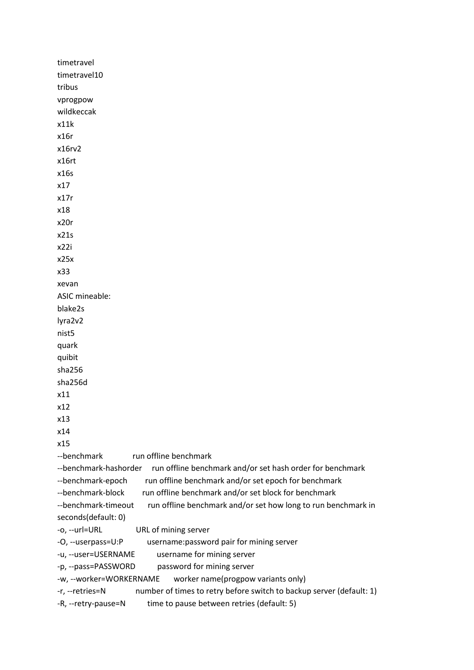```
timetravel 
timetravel10 
tribus 
vprogpow 
wildkeccak 
x11k 
x16r 
x16rv2 
x16rt 
x16s 
x17 
x17r 
x18 
x20r 
x21s 
x22i 
x25x 
x33 
xevan 
ASIC mineable: 
blake2s 
lyra2v2 
nist5 
quark 
quibit 
sha256 
sha256d 
x11 
x12 
x13 
x14 
x15 
--benchmark run offline benchmark
--benchmark-hashorder run offline benchmark and/or set hash order for benchmark
--benchmark-epoch run offline benchmark and/or set epoch for benchmark
--benchmark-block run offline benchmark and/or set block for benchmark
--benchmark-timeout run offline benchmark and/or set how long to run benchmark in
seconds(default: 0) 
-o, --url=URL URL of mining server 
-O, --userpass=U:P username:password pair for mining server 
-u, --user=USERNAME username for mining server 
-p, --pass=PASSWORD password for mining server 
-w, --worker=WORKERNAME worker name(progpow variants only) 
-r, --retries=N number of times to retry before switch to backup server (default: 1) 
-R, --retry-pause=N time to pause between retries (default: 5)
```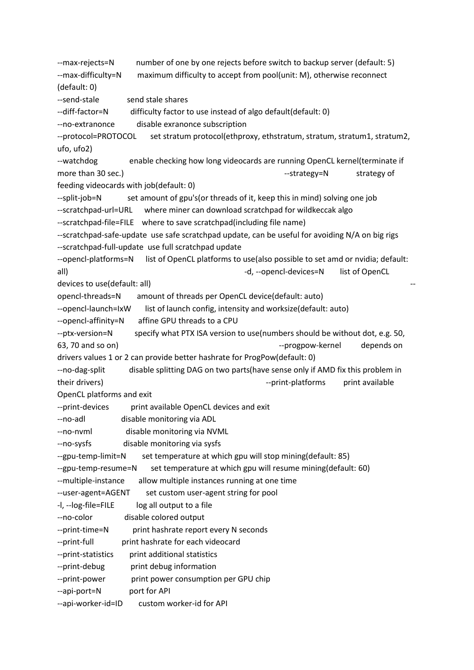--max-rejects=N number of one by one rejects before switch to backup server (default: 5) --max-difficulty=N maximum difficulty to accept from pool(unit: M), otherwise reconnect (default: 0) --send-stale send stale shares --diff-factor=N difficulty factor to use instead of algo default(default: 0) --no-extranonce disable exranonce subscription --protocol=PROTOCOL set stratum protocol(ethproxy, ethstratum, stratum, stratum1, stratum2, ufo, ufo2) --watchdog enable checking how long videocards are running OpenCL kernel(terminate if more than 30 sec.) https://www.facebook.com/strategy=N strategy of strategy of feeding videocards with job(default: 0) --split-job=N set amount of gpu's(or threads of it, keep this in mind) solving one job --scratchpad-url=URL where miner can download scratchpad for wildkeccak algo --scratchpad-file=FILE where to save scratchpad(including file name) --scratchpad-safe-update use safe scratchpad update, can be useful for avoiding N/A on big rigs --scratchpad-full-update use full scratchpad update --opencl-platforms=N list of OpenCL platforms to use(also possible to set amd or nvidia; default: all) and the state of the state of  $-d$ , --opencl-devices=N list of OpenCL devices to use(default: all) opencl-threads=N amount of threads per OpenCL device(default: auto) --opencl-launch=IxW list of launch config, intensity and worksize(default: auto) --opencl-affinity=N affine GPU threads to a CPU --ptx-version=N specify what PTX ISA version to use(numbers should be without dot, e.g. 50, 63, 70 and so on) and so on the state of the state of the state of the state of the state of the state of the state of the state of the state of the state of the state of the state of the state of the state of the state of drivers values 1 or 2 can provide better hashrate for ProgPow(default: 0) --no-dag-split disable splitting DAG on two parts(have sense only if AMD fix this problem in their drivers) and their drivers of their drivers of their drivers are their drivers of their available their their drivers of the state of the state of the state of the state of the state of the state of the state of the OpenCL platforms and exit --print-devices print available OpenCL devices and exit --no-adl disable monitoring via ADL --no-nvml disable monitoring via NVML --no-sysfs disable monitoring via sysfs --gpu-temp-limit=N set temperature at which gpu will stop mining(default: 85) --gpu-temp-resume=N set temperature at which gpu will resume mining(default: 60) --multiple-instance allow multiple instances running at one time --user-agent=AGENT set custom user-agent string for pool -I, --log-file=FILE log all output to a file --no-color disable colored output --print-time=N print hashrate report every N seconds --print-full print hashrate for each videocard --print-statistics print additional statistics --print-debug print debug information --print-power print power consumption per GPU chip --api-port=N port for API --api-worker-id=ID custom worker-id for API